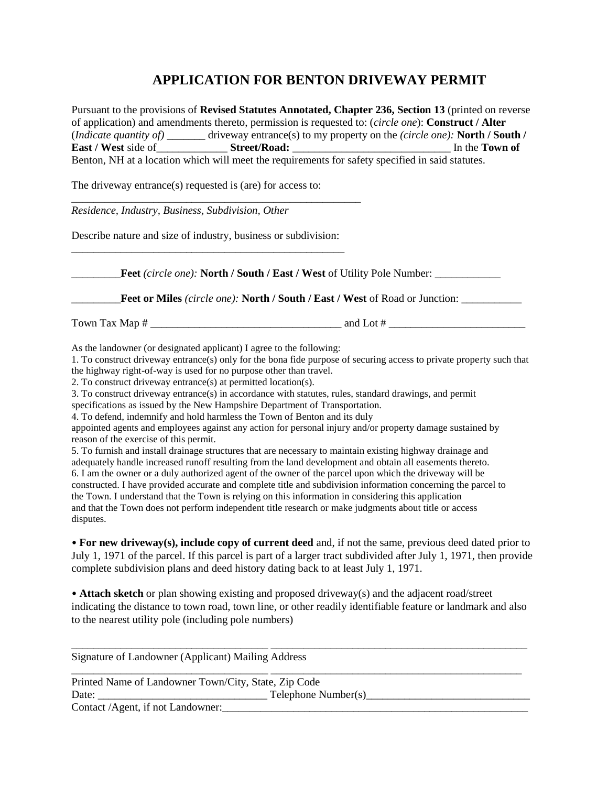## **APPLICATION FOR BENTON DRIVEWAY PERMIT**

Pursuant to the provisions of **Revised Statutes Annotated, Chapter 236, Section 13** (printed on reverse of application) and amendments thereto, permission is requested to: (*circle one*): **Construct / Alter** (*Indicate quantity of)* \_\_\_\_\_\_\_ driveway entrance(s) to my property on the *(circle one):* **North / South / East / West** side of\_\_\_\_\_\_\_\_\_\_\_\_\_ **Street/Road:** \_\_\_\_\_\_\_\_\_\_\_\_\_\_\_\_\_\_\_\_\_\_\_\_\_\_\_\_\_ In the **Town of**  Benton, NH at a location which will meet the requirements for safety specified in said statutes.

The driveway entrance(s) requested is (are) for access to:

*Residence, Industry, Business, Subdivision, Other*

Describe nature and size of industry, business or subdivision: \_\_\_\_\_\_\_\_\_\_\_\_\_\_\_\_\_\_\_\_\_\_\_\_\_\_\_\_\_\_\_\_\_\_\_\_\_\_\_\_\_\_\_\_\_\_\_\_\_\_

\_\_\_\_\_\_\_\_\_\_\_\_\_\_\_\_\_\_\_\_\_\_\_\_\_\_\_\_\_\_\_\_\_\_\_\_\_\_\_\_\_\_\_\_\_\_\_\_\_\_\_\_\_

\_\_\_\_\_\_\_\_\_**Feet** *(circle one):* **North / South / East / West** of Utility Pole Number: \_\_\_\_\_\_\_\_\_\_\_\_ \_\_\_\_\_\_\_\_\_**Feet or Miles** *(circle one):* **North / South / East / West** of Road or Junction: \_\_\_\_\_\_\_\_\_\_\_ Town Tax Map  $\#$  and Lot  $\#$ As the landowner (or designated applicant) I agree to the following:

1. To construct driveway entrance(s) only for the bona fide purpose of securing access to private property such that the highway right-of-way is used for no purpose other than travel.

2. To construct driveway entrance(s) at permitted location(s).

3. To construct driveway entrance(s) in accordance with statutes, rules, standard drawings, and permit

specifications as issued by the New Hampshire Department of Transportation.

4. To defend, indemnify and hold harmless the Town of Benton and its duly

appointed agents and employees against any action for personal injury and/or property damage sustained by reason of the exercise of this permit.

5. To furnish and install drainage structures that are necessary to maintain existing highway drainage and adequately handle increased runoff resulting from the land development and obtain all easements thereto. 6. I am the owner or a duly authorized agent of the owner of the parcel upon which the driveway will be constructed. I have provided accurate and complete title and subdivision information concerning the parcel to the Town. I understand that the Town is relying on this information in considering this application and that the Town does not perform independent title research or make judgments about title or access disputes.

• **For new driveway(s), include copy of current deed** and, if not the same, previous deed dated prior to July 1, 1971 of the parcel. If this parcel is part of a larger tract subdivided after July 1, 1971, then provide complete subdivision plans and deed history dating back to at least July 1, 1971.

• **Attach sketch** or plan showing existing and proposed driveway(s) and the adjacent road/street indicating the distance to town road, town line, or other readily identifiable feature or landmark and also to the nearest utility pole (including pole numbers)

| Signature of Landowner (Applicant) Mailing Address   |                     |  |
|------------------------------------------------------|---------------------|--|
| Printed Name of Landowner Town/City, State, Zip Code |                     |  |
| Date:                                                | Telephone Number(s) |  |
| Contact /Agent, if not Landowner:                    |                     |  |